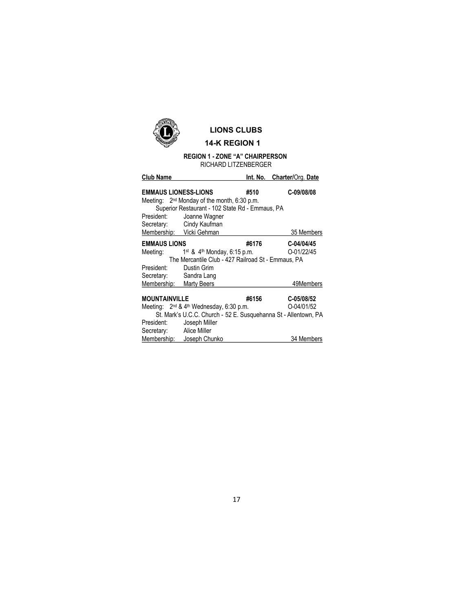

## LIONS CLUBS

# 14-K REGION 1

#### REGION 1 - ZONE "A" CHAIRPERSON RICHARD LITZENBERGER

| <b>Club Name</b>                                                                                 |                                                                 |       | Int. No. Charter/Org. Date |  |
|--------------------------------------------------------------------------------------------------|-----------------------------------------------------------------|-------|----------------------------|--|
| <b>EMMAUS LIONESS-LIONS</b>                                                                      |                                                                 | #510  | C-09/08/08                 |  |
| Meeting: $2nd$ Monday of the month, 6:30 p.m.<br>Superior Restaurant - 102 State Rd - Emmaus, PA |                                                                 |       |                            |  |
| President:                                                                                       | Joanne Wagner                                                   |       |                            |  |
|                                                                                                  | Secretary: Cindy Kaufman                                        |       |                            |  |
| Membership: Vicki Gehman                                                                         |                                                                 |       | 35 Members                 |  |
| <b>EMMAUS LIONS</b>                                                                              |                                                                 | #6176 | C-04/04/45                 |  |
|                                                                                                  | Meeting: 1 <sup>st</sup> & 4 <sup>th</sup> Monday, 6:15 p.m.    |       | O-01/22/45                 |  |
| The Mercantile Club - 427 Railroad St - Emmaus, PA                                               |                                                                 |       |                            |  |
| President:                                                                                       | Dustin Grim                                                     |       |                            |  |
| Secretary: Sandra Lang                                                                           |                                                                 |       |                            |  |
| Membership: Marty Beers                                                                          |                                                                 |       | 49Members                  |  |
| MOUNTAINVILLE                                                                                    |                                                                 | #6156 | C-05/08/52                 |  |
|                                                                                                  | Meeting: 2 <sup>nd</sup> & 4 <sup>th</sup> Wednesday, 6:30 p.m. |       | O-04/01/52                 |  |
| St. Mark's U.C.C. Church - 52 E. Susquehanna St - Allentown, PA                                  |                                                                 |       |                            |  |
| President:                                                                                       | Joseph Miller                                                   |       |                            |  |
| Secretary: Alice Miller                                                                          |                                                                 |       |                            |  |
|                                                                                                  | Membership: Joseph Chunko                                       |       | 34 Members                 |  |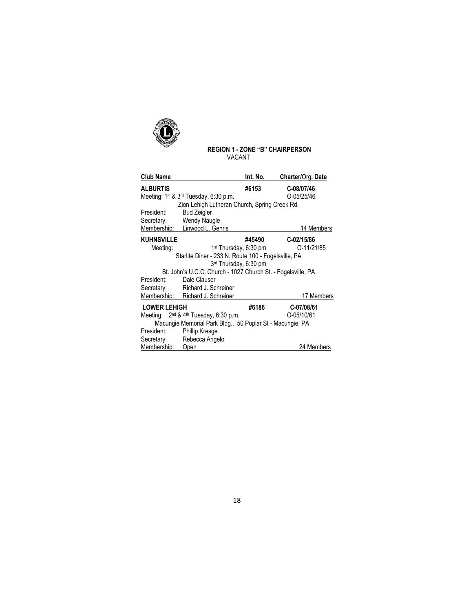

### REGION 1 - ZONE "B" CHAIRPERSON VACANT

| <b>Club Name</b>                                             |                                                               | Int. No.                          | Charter/Org. Date |  |  |  |
|--------------------------------------------------------------|---------------------------------------------------------------|-----------------------------------|-------------------|--|--|--|
| <b>ALBURTIS</b>                                              |                                                               | #6153                             | C-08/07/46        |  |  |  |
|                                                              | Meeting: $1^{st}$ & $3^{rd}$ Tuesday, 6:30 p.m.               |                                   | O-05/25/46        |  |  |  |
| Zion Lehigh Lutheran Church, Spring Creek Rd.                |                                                               |                                   |                   |  |  |  |
| President:                                                   | <b>Bud Zeigler</b>                                            |                                   |                   |  |  |  |
|                                                              | Secretary: Wendy Naugle                                       |                                   |                   |  |  |  |
|                                                              | Membership: Linwood L. Gehris                                 |                                   | 14 Members        |  |  |  |
| <b>KUHNSVILLE</b>                                            |                                                               | #45490                            | $C - 02/15/86$    |  |  |  |
| Meeting:                                                     |                                                               | 1 <sup>st</sup> Thursday, 6:30 pm | O-11/21/85        |  |  |  |
|                                                              | Starlite Diner - 233 N. Route 100 - Fogelsville, PA           |                                   |                   |  |  |  |
|                                                              | 3rd Thursday, 6:30 pm                                         |                                   |                   |  |  |  |
| St. John's U.C.C. Church - 1027 Church St. - Fogelsville, PA |                                                               |                                   |                   |  |  |  |
| President:                                                   | Dale Clauser                                                  |                                   |                   |  |  |  |
|                                                              | Secretary: Richard J. Schreiner                               |                                   |                   |  |  |  |
|                                                              | Membership: Richard J. Schreiner                              |                                   | 17 Members        |  |  |  |
| <b>LOWER LEHIGH</b>                                          |                                                               | #6186                             | C-07/08/61        |  |  |  |
|                                                              | Meeting: 2 <sup>nd</sup> & 4 <sup>th</sup> Tuesday, 6:30 p.m. |                                   | O-05/10/61        |  |  |  |
| Macungie Memorial Park Bldg., 50 Poplar St - Macungie, PA    |                                                               |                                   |                   |  |  |  |
| President:                                                   | Phillip Kresge                                                |                                   |                   |  |  |  |
|                                                              | Secretary: Rebecca Angelo                                     |                                   |                   |  |  |  |
| Membership:                                                  | Open                                                          |                                   | 24 Members        |  |  |  |